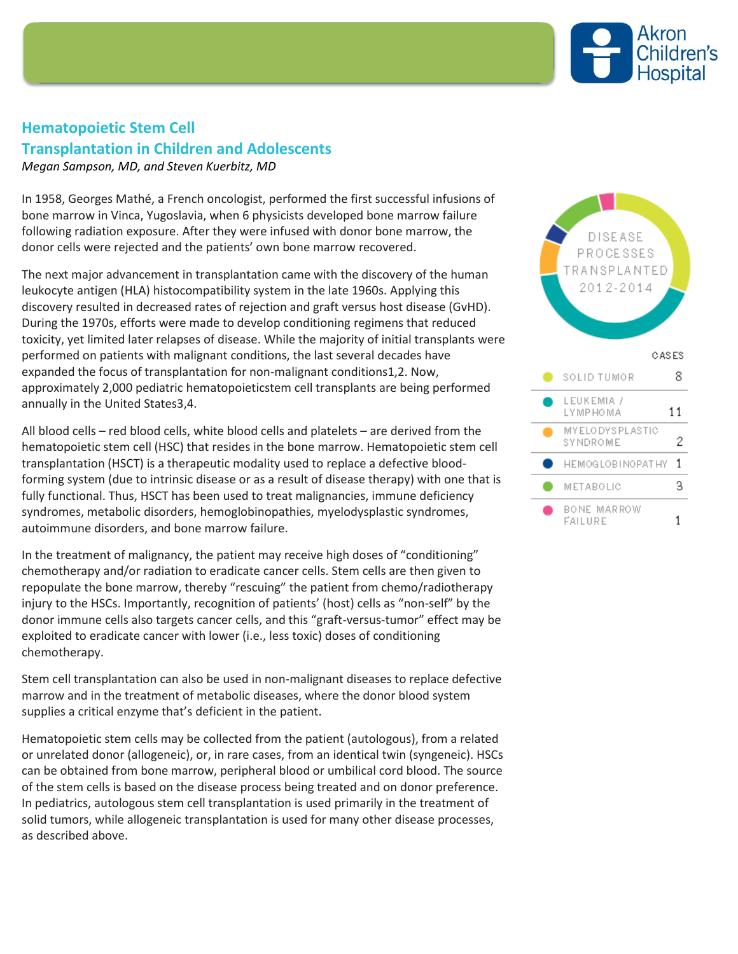

## **Hematopoietic Stem Cell Transplantation in Children and Adolescents**

*Megan Sampson, MD, and Steven Kuerbitz, MD*

In 1958, Georges Mathé, a French oncologist, performed the first successful infusions of bone marrow in Vinca, Yugoslavia, when 6 physicists developed bone marrow failure following radiation exposure. After they were infused with donor bone marrow, the donor cells were rejected and the patients' own bone marrow recovered.

The next major advancement in transplantation came with the discovery of the human leukocyte antigen (HLA) histocompatibility system in the late 1960s. Applying this discovery resulted in decreased rates of rejection and graft versus host disease (GvHD). During the 1970s, efforts were made to develop conditioning regimens that reduced toxicity, yet limited later relapses of disease. While the majority of initial transplants were performed on patients with malignant conditions, the last several decades have expanded the focus of transplantation for non-malignant conditions1,2. Now, approximately 2,000 pediatric hematopoieticstem cell transplants are being performed annually in the United States3,4.

All blood cells – red blood cells, white blood cells and platelets – are derived from the hematopoietic stem cell (HSC) that resides in the bone marrow. Hematopoietic stem cell transplantation (HSCT) is a therapeutic modality used to replace a defective bloodforming system (due to intrinsic disease or as a result of disease therapy) with one that is fully functional. Thus, HSCT has been used to treat malignancies, immune deficiency syndromes, metabolic disorders, hemoglobinopathies, myelodysplastic syndromes, autoimmune disorders, and bone marrow failure.

In the treatment of malignancy, the patient may receive high doses of "conditioning" chemotherapy and/or radiation to eradicate cancer cells. Stem cells are then given to repopulate the bone marrow, thereby "rescuing" the patient from chemo/radiotherapy injury to the HSCs. Importantly, recognition of patients' (host) cells as "non-self" by the donor immune cells also targets cancer cells, and this "graft-versus-tumor" effect may be exploited to eradicate cancer with lower (i.e., less toxic) doses of conditioning chemotherapy.

Stem cell transplantation can also be used in non-malignant diseases to replace defective marrow and in the treatment of metabolic diseases, where the donor blood system supplies a critical enzyme that's deficient in the patient.

Hematopoietic stem cells may be collected from the patient (autologous), from a related or unrelated donor (allogeneic), or, in rare cases, from an identical twin (syngeneic). HSCs can be obtained from bone marrow, peripheral blood or umbilical cord blood. The source of the stem cells is based on the disease process being treated and on donor preference. In pediatrics, autologous stem cell transplantation is used primarily in the treatment of solid tumors, while allogeneic transplantation is used for many other disease processes, as described above.